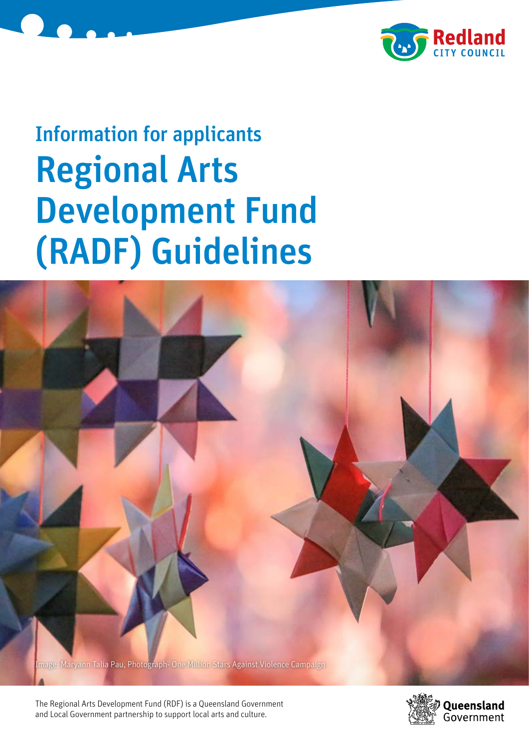



# Information for applicants Regional Arts Development Fund (RADF) Guidelines



The Regional Arts Development Fund (RDF) is a Queensland Government and Local Government partnership to support local arts and culture.

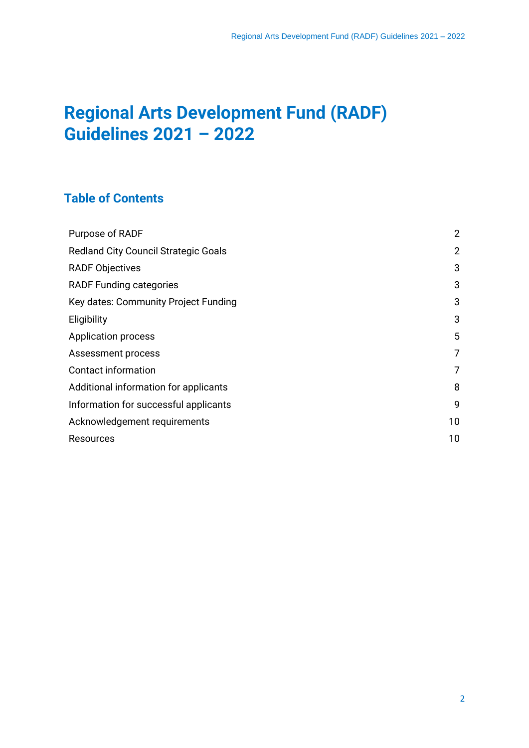## **Regional Arts Development Fund (RADF) Guidelines 2021 – 2022**

## **Table of Contents**

| Purpose of RADF                             | $\overline{2}$ |  |
|---------------------------------------------|----------------|--|
| <b>Redland City Council Strategic Goals</b> |                |  |
| <b>RADF Objectives</b>                      | 3              |  |
| <b>RADF Funding categories</b>              | 3              |  |
| Key dates: Community Project Funding        | 3              |  |
| Eligibility                                 | 3              |  |
| Application process                         | 5              |  |
| Assessment process                          | 7              |  |
| <b>Contact information</b>                  | 7              |  |
| Additional information for applicants       | 8              |  |
| Information for successful applicants       | 9              |  |
| Acknowledgement requirements                | 10             |  |
| Resources                                   |                |  |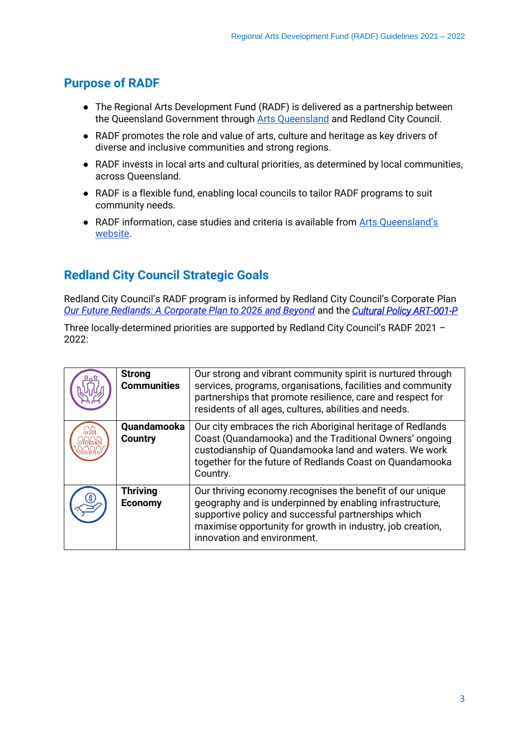## **Purpose of RADF**

- The Regional Arts Development Fund (RADF) is delivered as a partnership between the Queensland Government through [Arts Queensland](https://www.qld.gov.au/about/how-government-works/objectives-for-the-community) and Redland City Council.
- RADF promotes the role and value of arts, culture and heritage as key drivers of diverse and inclusive communities and strong regions.
- RADF invests in local arts and cultural priorities, as determined by local communities, across Queensland.
- RADF is a flexible fund, enabling local councils to tailor RADF programs to suit community needs.
- RADF information, case studies and criteria is available from Arts Queensland's [website.](https://www.arts.qld.gov.au/regional-arts-development-fund)

## **Redland City Council Strategic Goals**

Redland City Council's RADF program is informed by Redland City Council's Corporate Plan *[Our Future Redlands: A Corporate Plan to 2026 and Beyond](https://www.redland.qld.gov.au/info/20226/council_plans_and_financial_information/423/corporate_plan)* and the *[Cultural Policy ART-001-P](https://www.redland.qld.gov.au/download/downloads/id/3609/art-001-p_cultural_policy.pdf)*

Three locally-determined priorities are supported by Redland City Council's RADF 2021 –  $2022:$ 

| <b>Strong</b><br><b>Communities</b> | Our strong and vibrant community spirit is nurtured through<br>services, programs, organisations, facilities and community<br>partnerships that promote resilience, care and respect for<br>residents of all ages, cultures, abilities and needs.                         |
|-------------------------------------|---------------------------------------------------------------------------------------------------------------------------------------------------------------------------------------------------------------------------------------------------------------------------|
| Quandamooka<br><b>Country</b>       | Our city embraces the rich Aboriginal heritage of Redlands<br>Coast (Quandamooka) and the Traditional Owners' ongoing<br>custodianship of Quandamooka land and waters. We work<br>together for the future of Redlands Coast on Quandamooka<br>Country.                    |
| <b>Thriving</b><br><b>Economy</b>   | Our thriving economy recognises the benefit of our unique<br>geography and is underpinned by enabling infrastructure,<br>supportive policy and successful partnerships which<br>maximise opportunity for growth in industry, job creation,<br>innovation and environment. |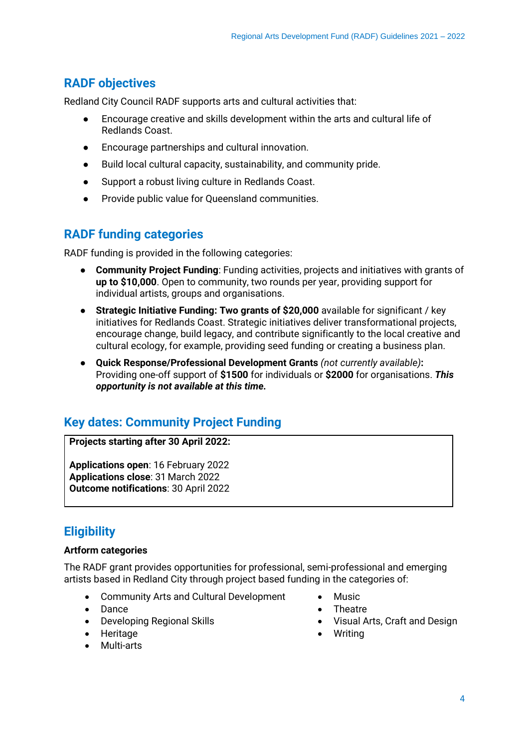## **RADF objectives**

Redland City Council RADF supports arts and cultural activities that:

- Encourage creative and skills development within the arts and cultural life of Redlands Coast.
- Encourage partnerships and cultural innovation.
- Build local cultural capacity, sustainability, and community pride.
- Support a robust living culture in Redlands Coast.
- Provide public value for Queensland communities.

## **RADF funding categories**

RADF funding is provided in the following categories:

- **Community Project Funding**: Funding activities, projects and initiatives with grants of **up to \$10,000**. Open to community, two rounds per year, providing support for individual artists, groups and organisations.
- **Strategic Initiative Funding: Two grants of \$20,000** available for significant / key initiatives for Redlands Coast. Strategic initiatives deliver transformational projects, encourage change, build legacy, and contribute significantly to the local creative and cultural ecology, for example, providing seed funding or creating a business plan.
- **Quick Response/Professional Development Grants** *(not currently available)***:**  Providing one-off support of **\$1500** for individuals or **\$2000** for organisations. *This opportunity is not available at this time.*

## **Key dates: Community Project Funding**

**Projects starting after 30 April 2022:**

**Applications open**: 16 February 2022 **Applications close**: 31 March 2022 **Outcome notifications**: 30 April 2022

## **Eligibility**

#### **Artform categories**

The RADF grant provides opportunities for professional, semi-professional and emerging artists based in Redland City through project based funding in the categories of:

- Community Arts and Cultural Development
- Dance
- Developing Regional Skills
- Heritage
- Multi-arts
- **Music**
- **Theatre**
- Visual Arts, Craft and Design
- Writing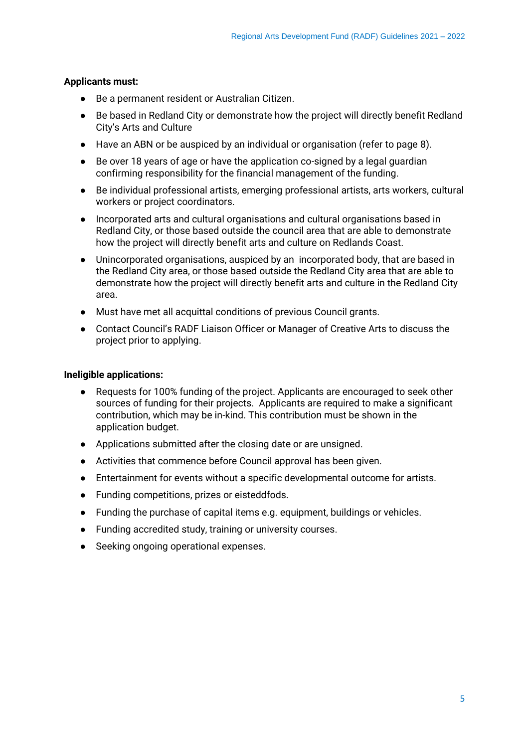#### **Applicants must:**

- Be a permanent resident or Australian Citizen.
- Be based in Redland City or demonstrate how the project will directly benefit Redland City's Arts and Culture
- Have an ABN or be auspiced by an individual or organisation (refer to page 8).
- Be over 18 years of age or have the application co-signed by a legal guardian confirming responsibility for the financial management of the funding.
- Be individual professional artists, emerging professional artists, arts workers, cultural workers or project coordinators.
- Incorporated arts and cultural organisations and cultural organisations based in Redland City, or those based outside the council area that are able to demonstrate how the project will directly benefit arts and culture on Redlands Coast.
- Unincorporated organisations, auspiced by an incorporated body, that are based in the Redland City area, or those based outside the Redland City area that are able to demonstrate how the project will directly benefit arts and culture in the Redland City area.
- Must have met all acquittal conditions of previous Council grants.
- Contact Council's RADF Liaison Officer or Manager of Creative Arts to discuss the project prior to applying.

#### **Ineligible applications:**

- Requests for 100% funding of the project. Applicants are encouraged to seek other sources of funding for their projects. Applicants are required to make a significant contribution, which may be in-kind. This contribution must be shown in the application budget.
- Applications submitted after the closing date or are unsigned.
- Activities that commence before Council approval has been given.
- Entertainment for events without a specific developmental outcome for artists.
- Funding competitions, prizes or eisteddfods.
- Funding the purchase of capital items e.g. equipment, buildings or vehicles.
- Funding accredited study, training or university courses.
- Seeking ongoing operational expenses.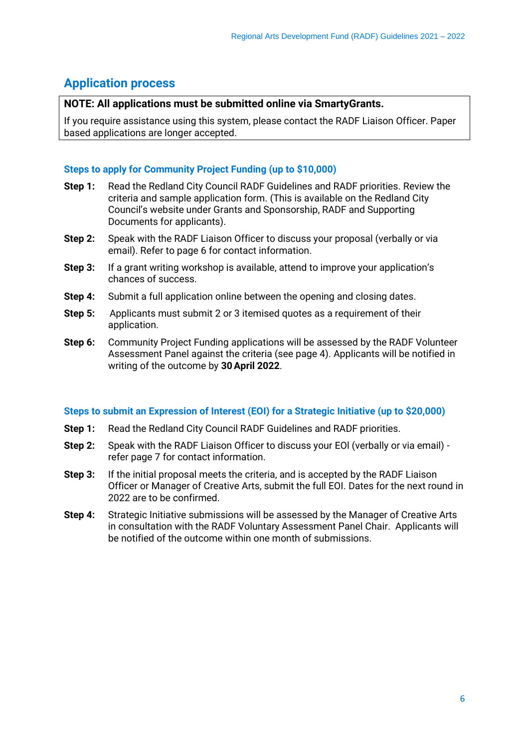## **Application process**

#### **NOTE: All applications must be submitted online via SmartyGrants.**

If you require assistance using this system, please contact the RADF Liaison Officer. Paper based applications are longer accepted.

#### **Steps to apply for Community Project Funding (up to \$10,000)**

- **Step 1:** Read the Redland City Council RADF Guidelines and RADF priorities. Review the criteria and sample application form. (This is available on the Redland City Council's website under Grants and Sponsorship, RADF and Supporting Documents for applicants).
- **Step 2:** Speak with the RADF Liaison Officer to discuss your proposal (verbally or via email). Refer to page 6 for contact information.
- **Step 3:** If a grant writing workshop is available, attend to improve your application's chances of success.
- **Step 4:** Submit a full application online between the opening and closing dates.
- **Step 5:** Applicants must submit 2 or 3 itemised quotes as a requirement of their application.
- **Step 6:** Community Project Funding applications will be assessed by the RADF Volunteer Assessment Panel against the criteria (see page 4). Applicants will be notified in writing of the outcome by **30April 2022**.

#### **Steps to submit an Expression of Interest (EOI) for a Strategic Initiative (up to \$20,000)**

- **Step 1:** Read the Redland City Council RADF Guidelines and RADF priorities.
- **Step 2:** Speak with the RADF Liaison Officer to discuss your EOl (verbally or via email) refer page 7 for contact information.
- **Step 3:** If the initial proposal meets the criteria, and is accepted by the RADF Liaison Officer or Manager of Creative Arts, submit the full EOI. Dates for the next round in 2022 are to be confirmed.
- **Step 4:** Strategic Initiative submissions will be assessed by the Manager of Creative Arts in consultation with the RADF Voluntary Assessment Panel Chair. Applicants will be notified of the outcome within one month of submissions.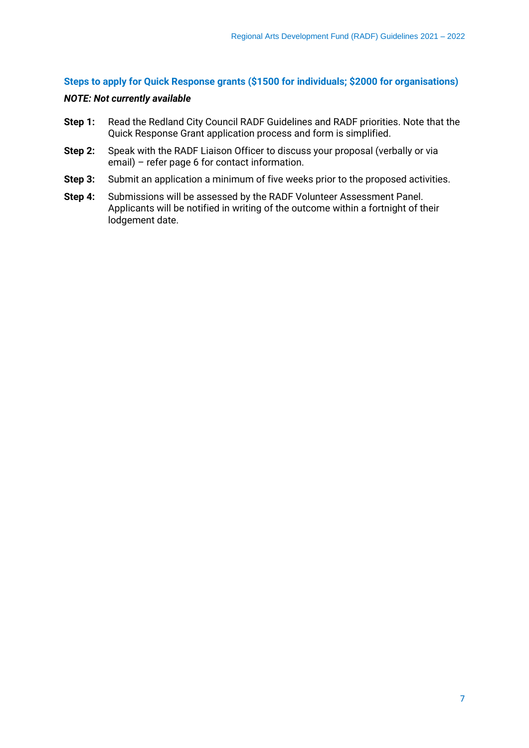#### **Steps to apply for Quick Response grants (\$1500 for individuals; \$2000 for organisations)**

#### *NOTE: Not currently available*

- **Step 1:** Read the Redland City Council RADF Guidelines and RADF priorities. Note that the Quick Response Grant application process and form is simplified.
- **Step 2:** Speak with the RADF Liaison Officer to discuss your proposal (verbally or via email) – refer page 6 for contact information.
- **Step 3:** Submit an application a minimum of five weeks prior to the proposed activities.
- **Step 4:** Submissions will be assessed by the RADF Volunteer Assessment Panel. Applicants will be notified in writing of the outcome within a fortnight of their lodgement date.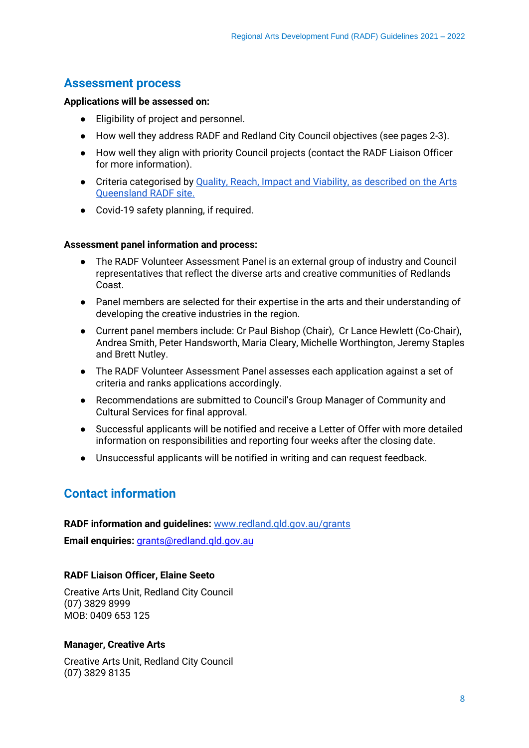## **Assessment process**

#### **Applications will be assessed on:**

- Eligibility of project and personnel.
- How well they address RADF and Redland City Council objectives (see pages 2-3).
- How well they align with priority Council projects (contact the RADF Liaison Officer for more information).
- Criteria categorised by [Quality, Reach, Impact and Viability, as described on the Arts](https://www.arts.qld.gov.au/regional-arts-development-fund)  [Queensland RADF site.](https://www.arts.qld.gov.au/regional-arts-development-fund)
- Covid-19 safety planning, if required.

#### **Assessment panel information and process:**

- The RADF Volunteer Assessment Panel is an external group of industry and Council representatives that reflect the diverse arts and creative communities of Redlands Coast.
- Panel members are selected for their expertise in the arts and their understanding of developing the creative industries in the region.
- Current panel members include: Cr Paul Bishop (Chair), Cr Lance Hewlett (Co-Chair), Andrea Smith, Peter Handsworth, Maria Cleary, Michelle Worthington, Jeremy Staples and Brett Nutley.
- The RADF Volunteer Assessment Panel assesses each application against a set of criteria and ranks applications accordingly.
- Recommendations are submitted to Council's Group Manager of Community and Cultural Services for final approval.
- Successful applicants will be notified and receive a Letter of Offer with more detailed information on responsibilities and reporting four weeks after the closing date.
- Unsuccessful applicants will be notified in writing and can request feedback.

## **Contact information**

#### **RADF information and guidelines:** [www.redland.qld.gov.au/grants](http://www.redland.qld.gov.au/Grants)

**Email enquiries:** *grants@redland.gld.gov.au* 

#### **RADF Liaison Officer, Elaine Seeto**

Creative Arts Unit, Redland City Council (07) 3829 8999 MOB: 0409 653 125

#### **Manager, Creative Arts**

Creative Arts Unit, Redland City Council (07) 3829 8135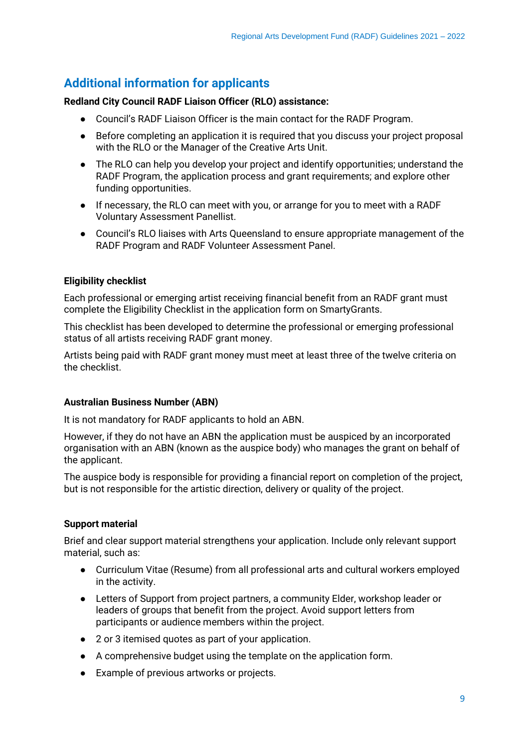## **Additional information for applicants**

#### **Redland City Council RADF Liaison Officer (RLO) assistance:**

- Council's RADF Liaison Officer is the main contact for the RADF Program.
- Before completing an application it is required that you discuss your project proposal with the RLO or the Manager of the Creative Arts Unit.
- The RLO can help you develop your project and identify opportunities; understand the RADF Program, the application process and grant requirements; and explore other funding opportunities.
- If necessary, the RLO can meet with you, or arrange for you to meet with a RADF Voluntary Assessment Panellist.
- Council's RLO liaises with Arts Queensland to ensure appropriate management of the RADF Program and RADF Volunteer Assessment Panel.

#### **Eligibility checklist**

Each professional or emerging artist receiving financial benefit from an RADF grant must complete the Eligibility Checklist in the application form on SmartyGrants.

This checklist has been developed to determine the professional or emerging professional status of all artists receiving RADF grant money.

Artists being paid with RADF grant money must meet at least three of the twelve criteria on the checklist.

#### **Australian Business Number (ABN)**

It is not mandatory for RADF applicants to hold an ABN.

However, if they do not have an ABN the application must be auspiced by an incorporated organisation with an ABN (known as the auspice body) who manages the grant on behalf of the applicant.

The auspice body is responsible for providing a financial report on completion of the project, but is not responsible for the artistic direction, delivery or quality of the project.

#### **Support material**

Brief and clear support material strengthens your application. Include only relevant support material, such as:

- Curriculum Vitae (Resume) from all professional arts and cultural workers employed in the activity.
- Letters of Support from project partners, a community Elder, workshop leader or leaders of groups that benefit from the project. Avoid support letters from participants or audience members within the project.
- 2 or 3 itemised quotes as part of your application.
- A comprehensive budget using the template on the application form.
- Example of previous artworks or projects.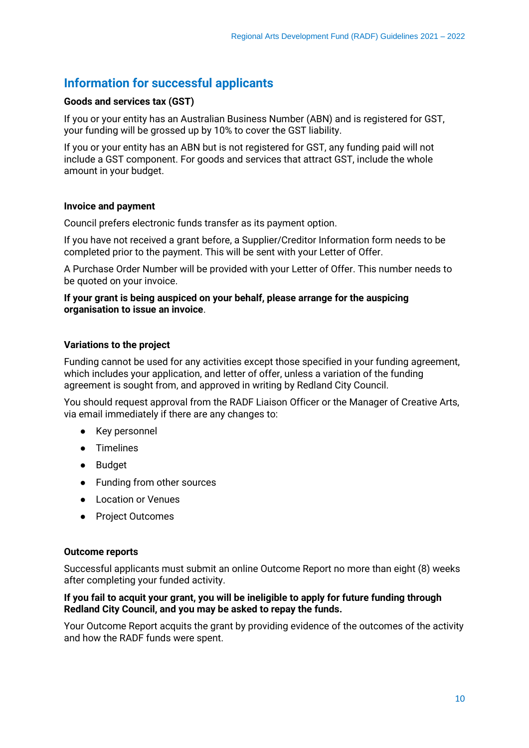## **Information for successful applicants**

#### **Goods and services tax (GST)**

If you or your entity has an Australian Business Number (ABN) and is registered for GST, your funding will be grossed up by 10% to cover the GST liability.

If you or your entity has an ABN but is not registered for GST, any funding paid will not include a GST component. For goods and services that attract GST, include the whole amount in your budget.

#### **Invoice and payment**

Council prefers electronic funds transfer as its payment option.

If you have not received a grant before, a Supplier/Creditor Information form needs to be completed prior to the payment. This will be sent with your Letter of Offer.

A Purchase Order Number will be provided with your Letter of Offer. This number needs to be quoted on your invoice.

#### **If your grant is being auspiced on your behalf, please arrange for the auspicing organisation to issue an invoice**.

#### **Variations to the project**

Funding cannot be used for any activities except those specified in your funding agreement, which includes your application, and letter of offer, unless a variation of the funding agreement is sought from, and approved in writing by Redland City Council.

You should request approval from the RADF Liaison Officer or the Manager of Creative Arts, via email immediately if there are any changes to:

- Key personnel
- Timelines
- Budget
- Funding from other sources
- Location or Venues
- Project Outcomes

#### **Outcome reports**

Successful applicants must submit an online Outcome Report no more than eight (8) weeks after completing your funded activity.

#### **If you fail to acquit your grant, you will be ineligible to apply for future funding through Redland City Council, and you may be asked to repay the funds.**

Your Outcome Report acquits the grant by providing evidence of the outcomes of the activity and how the RADF funds were spent.